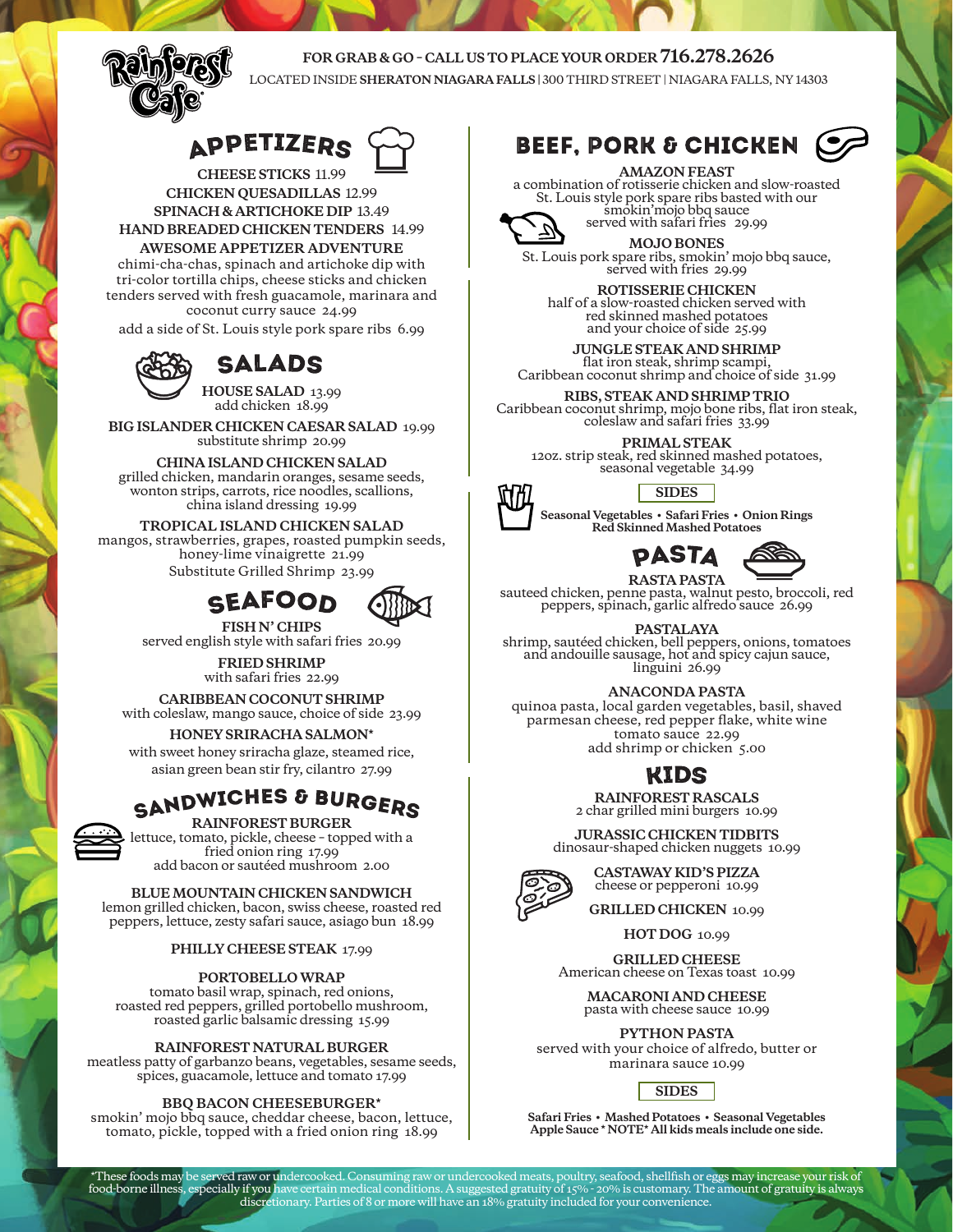# **FOR GRAB & GO – CALL US TO PLACE YOUR ORDER 716.278.2626**

LOCATED INSIDE **SHERATON NIAGARA FALLS |** 300 THIRD STREET | NIAGARA FALLS, NY 14303

# APPETIZERS

**CHEESE STICKS** 11.99 **CHICKEN QUESADILLAS** 12.99 **SPINACH & ARTICHOKE DIP** 13.49

**HAND BREADED CHICKEN TENDERS** 14.99

**AWESOME APPETIZER ADVENTURE** chimi-cha-chas, spinach and artichoke dip with tri-color tortilla chips, cheese sticks and chicken tenders served with fresh guacamole, marinara and coconut curry sauce 24.99

add a side of St. Louis style pork spare ribs 6.99



**HOUSE SALAD** 13.99 add chicken 18.99

**BIG ISLANDER CHICKEN CAESAR SALAD** 19.99 substitute shrimp 20.99

**CHINA ISLAND CHICKEN SALAD** grilled chicken, mandarin oranges, sesame seeds, wonton strips, carrots, rice noodles, scallions, china island dressing 19.99

**TROPICAL ISLAND CHICKEN SALAD** mangos, strawberries, grapes, roasted pumpkin seeds, honey-lime vinaigrette 21.99 Substitute Grilled Shrimp 23.99





**FRIED SHRIMP** with safari fries 22.99

**CARIBBEAN COCONUT SHRIMP** with coleslaw, mango sauce, choice of side 23.99

**HONEY SRIRACHA SALMON\*** with sweet honey sriracha glaze, steamed rice, asian green bean stir fry, cilantro 27.99

# **SANDWICHES & BURGERS**



**RAINFOREST BURGER** lettuce, tomato, pickle, cheese – topped with a fried onion ring 17.99 add bacon or sautéed mushroom 2.00

**BLUE MOUNTAIN CHICKEN SANDWICH**  lemon grilled chicken, bacon, swiss cheese, roasted red peppers, lettuce, zesty safari sauce, asiago bun 18.99

**PHILLY CHEESE STEAK** 17.99

**PORTOBELLO WRAP**  tomato basil wrap, spinach, red onions, roasted red peppers, grilled portobello mushroom, roasted garlic balsamic dressing 15.99

### **RAINFOREST NATURAL BURGER**

meatless patty of garbanzo beans, vegetables, sesame seeds, spices, guacamole, lettuce and tomato 17.99

### **BBQ BACON CHEESEBURGER\***

smokin' mojo bbq sauce, cheddar cheese, bacon, lettuce, tomato, pickle, topped with a fried onion ring 18.99

# **BEEF, PORK & CHICKEN**

## **AMAZON FEAST**

a combination of rotisserie chicken and slow-roasted St. Louis style pork spare ribs basted with our smokin'mojo bbq sauce served with safari fries 29.99



**MOJO BONES**  St. Louis pork spare ribs, smokin' mojo bbq sauce, served with fries 29.99

**ROTISSERIE CHICKEN**  half of a slow-roasted chicken served with red skinned mashed potatoes and your choice of side 25.99

**JUNGLE STEAK AND SHRIMP**

flat iron steak, shrimp scampi, Caribbean coconut shrimp and choice of side 31.99

**RIBS, STEAK AND SHRIMP TRIO**  Caribbean coconut shrimp, mojo bone ribs, flat iron steak, coleslaw and safari fries 33.99

**PRIMAL STEAK**

12oz. strip steak, red skinned mashed potatoes, seasonal vegetable 34.99

**SIDES**

**Seasonal Vegetables • Safari Fries • Onion Rings Red Skinned Mashed Potatoes**





sauteed chicken, penne pasta, walnut pesto, broccoli, red peppers, spinach, garlic alfredo sauce 26.99

**PASTALAYA** shrimp, sautéed chicken, bell peppers, onions, tomatoes and andouille sausage, hot and spicy cajun sauce, linguini 26.99

**ANACONDA PASTA**

quinoa pasta, local garden vegetables, basil, shaved parmesan cheese, red pepper flake, white wine tomato sauce 22.99 add shrimp or chicken 5.00



**RAINFOREST RASCALS** 2 char grilled mini burgers 10.99

**JURASSIC CHICKEN TIDBITS** dinosaur-shaped chicken nuggets 10.99



**CASTAWAY KID'S PIZZA** cheese or pepperoni 10.99

**GRILLED CHICKEN** 10.99

**HOT DOG** 10.99

**GRILLED CHEESE** American cheese on Texas toast 10.99

**MACARONI AND CHEESE** pasta with cheese sauce 10.99

**PYTHON PASTA**

served with your choice of alfredo, butter or marinara sauce 10.99

**SIDES** 

**Safari Fries • Mashed Potatoes • Seasonal Vegetables Apple Sauce \* NOTE\* All kids meals include one side.**

\*These foods may be served raw or undercooked. Consuming raw or undercooked meats, poultry, seafood, shellfish or eggs may increase your risk of<br>food-borne illness, especially if you have certain medical conditions. A sugg discretionary. Parties of 8 or more will have an 18% gratuity included for your convenience.